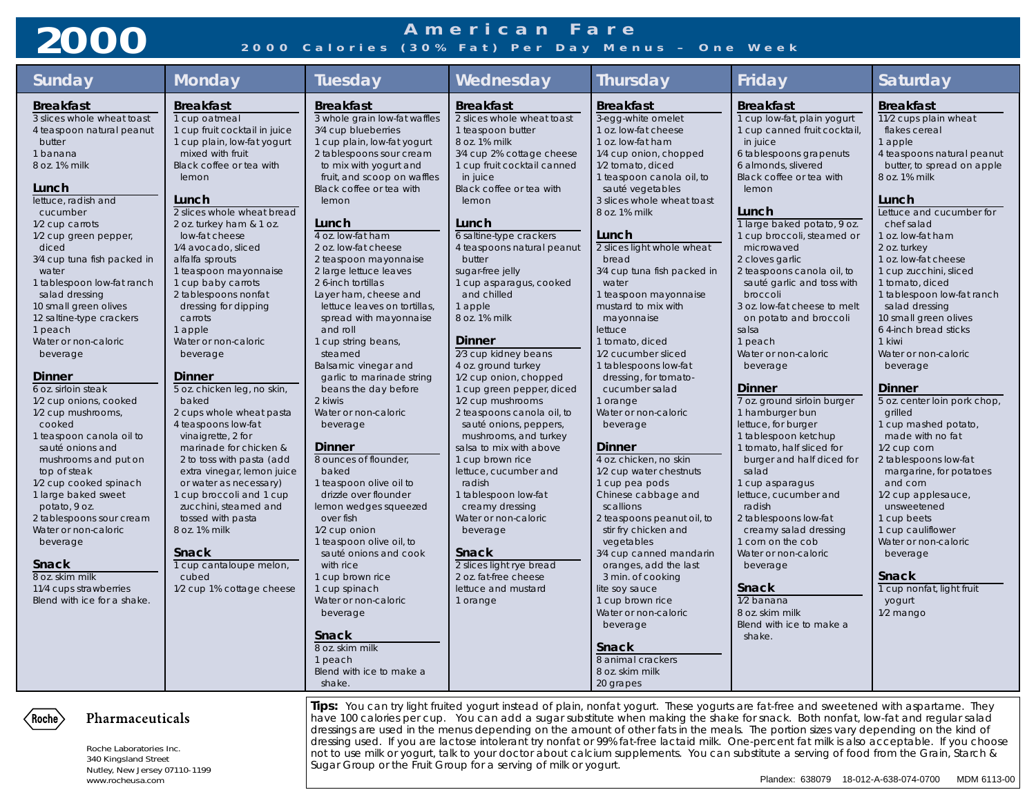## **American Fare 2000 2000 Calories (30% Fat) Per Day Menus – One Week**

| <b>Sunday</b>                                                                                                                                                                                                                                                                                                                                                                                                                                                                                                                                                                                                                                                                                                                                                                                                                           | <b>Monday</b>                                                                                                                                                                                                                                                                                                                                                                                                                                                                                                                                                                                                                                                                                                                                                                                                                                                            | <b>Tuesday</b>                                                                                                                                                                                                                                                                                                                                                                                                                                                                                                                                                                                                                                                                                                                                                                                                                                                                                                                                                                                                      | Wednesday                                                                                                                                                                                                                                                                                                                                                                                                                                                                                                                                                                                                                                                                                                                                                                                                                                                                     | <b>Thursday</b>                                                                                                                                                                                                                                                                                                                                                                                                                                                                                                                                                                                                                                                                                                                                                                                                                                                                                                                                                                           | Friday                                                                                                                                                                                                                                                                                                                                                                                                                                                                                                                                                                                                                                                                                                                                                                                                                                                                                                                           | Saturday                                                                                                                                                                                                                                                                                                                                                                                                                                                                                                                                                                                                                                                                                                                                                                                                                    |  |  |
|-----------------------------------------------------------------------------------------------------------------------------------------------------------------------------------------------------------------------------------------------------------------------------------------------------------------------------------------------------------------------------------------------------------------------------------------------------------------------------------------------------------------------------------------------------------------------------------------------------------------------------------------------------------------------------------------------------------------------------------------------------------------------------------------------------------------------------------------|--------------------------------------------------------------------------------------------------------------------------------------------------------------------------------------------------------------------------------------------------------------------------------------------------------------------------------------------------------------------------------------------------------------------------------------------------------------------------------------------------------------------------------------------------------------------------------------------------------------------------------------------------------------------------------------------------------------------------------------------------------------------------------------------------------------------------------------------------------------------------|---------------------------------------------------------------------------------------------------------------------------------------------------------------------------------------------------------------------------------------------------------------------------------------------------------------------------------------------------------------------------------------------------------------------------------------------------------------------------------------------------------------------------------------------------------------------------------------------------------------------------------------------------------------------------------------------------------------------------------------------------------------------------------------------------------------------------------------------------------------------------------------------------------------------------------------------------------------------------------------------------------------------|-------------------------------------------------------------------------------------------------------------------------------------------------------------------------------------------------------------------------------------------------------------------------------------------------------------------------------------------------------------------------------------------------------------------------------------------------------------------------------------------------------------------------------------------------------------------------------------------------------------------------------------------------------------------------------------------------------------------------------------------------------------------------------------------------------------------------------------------------------------------------------|-------------------------------------------------------------------------------------------------------------------------------------------------------------------------------------------------------------------------------------------------------------------------------------------------------------------------------------------------------------------------------------------------------------------------------------------------------------------------------------------------------------------------------------------------------------------------------------------------------------------------------------------------------------------------------------------------------------------------------------------------------------------------------------------------------------------------------------------------------------------------------------------------------------------------------------------------------------------------------------------|----------------------------------------------------------------------------------------------------------------------------------------------------------------------------------------------------------------------------------------------------------------------------------------------------------------------------------------------------------------------------------------------------------------------------------------------------------------------------------------------------------------------------------------------------------------------------------------------------------------------------------------------------------------------------------------------------------------------------------------------------------------------------------------------------------------------------------------------------------------------------------------------------------------------------------|-----------------------------------------------------------------------------------------------------------------------------------------------------------------------------------------------------------------------------------------------------------------------------------------------------------------------------------------------------------------------------------------------------------------------------------------------------------------------------------------------------------------------------------------------------------------------------------------------------------------------------------------------------------------------------------------------------------------------------------------------------------------------------------------------------------------------------|--|--|
| <b>Breakfast</b><br>3 slices whole wheat toast<br>4 teaspoon natural peanut<br>butter<br>1 banana<br>8 oz. 1% milk<br>Lunch<br>lettuce, radish and<br>cucumber<br>1/2 cup carrots<br>1/2 cup green pepper,<br>diced<br>3/4 cup tuna fish packed in<br>water<br>1 tablespoon low-fat ranch<br>salad dressing<br>10 small green olives<br>12 saltine-type crackers<br>1 peach<br>Water or non-caloric<br>beverage<br><b>Dinner</b><br>6 oz. sirloin steak<br>1/2 cup onions, cooked<br>1/2 cup mushrooms,<br>cooked<br>1 teaspoon canola oil to<br>sauté onions and<br>mushrooms and put on<br>top of steak<br>1/2 cup cooked spinach<br>1 large baked sweet<br>potato, 9 oz.<br>2 tablespoons sour cream<br>Water or non-caloric<br>beverage<br><b>Snack</b><br>8 oz. skim milk<br>11/4 cups strawberries<br>Blend with ice for a shake. | <b>Breakfast</b><br>1 cup oatmeal<br>1 cup fruit cocktail in juice<br>1 cup plain, low-fat yogurt<br>mixed with fruit<br>Black coffee or tea with<br>lemon<br>Lunch<br>2 slices whole wheat bread<br>2 oz. turkey ham & 1 oz.<br>low-fat cheese<br>1/4 avocado, sliced<br>alfalfa sprouts<br>1 teaspoon mayonnaise<br>1 cup baby carrots<br>2 tablespoons nonfat<br>dressing for dipping<br>carrots<br>1 apple<br>Water or non-caloric<br>beverage<br>Dinner<br>5 oz. chicken leg, no skin,<br>baked<br>2 cups whole wheat pasta<br>4 teaspoons low-fat<br>vinaigrette, 2 for<br>marinade for chicken &<br>2 to toss with pasta (add<br>extra vinegar, lemon juice<br>or water as necessary)<br>1 cup broccoli and 1 cup<br>zucchini, steamed and<br>tossed with pasta<br>8 oz. 1% milk<br><b>Snack</b><br>1 cup cantaloupe melon,<br>cubed<br>1/2 cup 1% cottage cheese | <b>Breakfast</b><br>3 whole grain low-fat waffles<br>3/4 cup blueberries<br>1 cup plain, low-fat yogurt<br>2 tablespoons sour cream<br>to mix with yogurt and<br>fruit, and scoop on waffles<br>Black coffee or tea with<br>lemon<br>Lunch<br>4 oz. low-fat ham<br>2 oz. low-fat cheese<br>2 teaspoon mayonnaise<br>2 large lettuce leaves<br>2 6-inch tortillas<br>Layer ham, cheese and<br>lettuce leaves on tortillas,<br>spread with mayonnaise<br>and roll<br>1 cup string beans,<br>steamed<br>Balsamic vinegar and<br>garlic to marinade string<br>beans the day before<br>2 kiwis<br>Water or non-caloric<br>beverage<br>Dinner<br>8 ounces of flounder,<br>baked<br>1 teaspoon olive oil to<br>drizzle over flounder<br>lemon wedges squeezed<br>over fish<br>1/2 cup onion<br>1 teaspoon olive oil, to<br>sauté onions and cook<br>with rice<br>1 cup brown rice<br>1 cup spinach<br>Water or non-caloric<br>beverage<br><b>Snack</b><br>8 OZ. SKIM MIIK<br>1 peach<br>Blend with ice to make a<br>shake. | <b>Breakfast</b><br>2 slices whole wheat toast<br>1 teaspoon butter<br>8 oz. 1% milk<br>3/4 cup 2% cottage cheese<br>1 cup fruit cocktail canned<br>in juice<br>Black coffee or tea with<br>lemon<br>Lunch<br>6 saltine-type crackers<br>4 teaspoons natural peanut<br>butter<br>sugar-free jelly<br>1 cup asparagus, cooked<br>and chilled<br>1 apple<br>8 oz. 1% milk<br><b>Dinner</b><br>2/3 cup kidney beans<br>4 oz. ground turkey<br>1/2 cup onion, chopped<br>1 cup green pepper, diced<br>1/2 cup mushrooms<br>2 teaspoons canola oil, to<br>sauté onions, peppers,<br>mushrooms, and turkey<br>salsa to mix with above<br>1 cup brown rice<br>lettuce, cucumber and<br>radish<br>1 tablespoon low-fat<br>creamy dressing<br>Water or non-caloric<br>beverage<br><b>Snack</b><br>2 slices light rye bread<br>2 oz. fat-free cheese<br>lettuce and mustard<br>1 orange | <b>Breakfast</b><br>3-egg-white omelet<br>1 oz. low-fat cheese<br>1 oz. low-fat ham<br>1/4 cup onion, chopped<br>1/2 tomato, diced<br>1 teaspoon canola oil, to<br>sauté vegetables<br>3 slices whole wheat toast<br>8 oz. 1% milk<br>Lunch<br>2 slices light whole wheat<br>bread<br>3/4 cup tuna fish packed in<br>water<br>1 teaspoon mayonnaise<br>mustard to mix with<br>mayonnaise<br>lettuce<br>1 tomato, diced<br>1/2 cucumber sliced<br>1 tablespoons low-fat<br>dressing, for tomato-<br>cucumber salad<br>1 orange<br>Water or non-caloric<br>beverage<br><b>Dinner</b><br>4 oz. chicken, no skin<br>1/2 cup water chestnuts<br>1 cup pea pods<br>Chinese cabbage and<br>scallions<br>2 teaspoons peanut oil, to<br>stir fry chicken and<br>vegetables<br>3/4 cup canned mandarin<br>oranges, add the last<br>3 min. of cooking<br>lite soy sauce<br>1 cup brown rice<br>Water or non-caloric<br>beverage<br><b>Snack</b><br>8 animal crackers<br>8 oz. skim milk<br>20 grapes | <b>Breakfast</b><br>1 cup low-fat, plain yogurt<br>1 cup canned fruit cocktail,<br>in juice<br>6 tablespoons grapenuts<br>6 almonds, slivered<br>Black coffee or tea with<br>lemon<br>Lunch<br>1 large baked potato, 9 oz.<br>1 cup broccoli, steamed or<br>microwaved<br>2 cloves garlic<br>2 teaspoons canola oil, to<br>sauté garlic and toss with<br>broccoli<br>3 oz. low-fat cheese to melt<br>on potato and broccoli<br>salsa<br>1 peach<br>Water or non-caloric<br>beverage<br><b>Dinner</b><br>7 oz. ground sirloin burger<br>1 hamburger bun<br>lettuce, for burger<br>1 tablespoon ketchup<br>1 tomato, half sliced for<br>burger and half diced for<br>salad<br>1 cup asparagus<br>lettuce, cucumber and<br>radish<br>2 tablespoons low-fat<br>creamy salad dressing<br>1 corn on the cob<br>Water or non-caloric<br>beverage<br><b>Snack</b><br>1/2 banana<br>8 oz. skim milk<br>Blend with ice to make a<br>shake. | <b>Breakfast</b><br>11/2 cups plain wheat<br>flakes cereal<br>1 apple<br>4 teaspoons natural peanut<br>butter, to spread on apple<br>8 oz. 1% milk<br>Lunch<br>Lettuce and cucumber for<br>chef salad<br>1 oz. low-fat ham<br>2 oz. turkey<br>1 oz. low-fat cheese<br>1 cup zucchini, sliced<br>1 tomato, diced<br>1 tablespoon low-fat ranch<br>salad dressing<br>10 small green olives<br>6 4-inch bread sticks<br>1 kiwi<br>Water or non-caloric<br>beverage<br>Dinner<br>5 oz. center loin pork chop,<br>grilled<br>1 cup mashed potato,<br>made with no fat<br>1/2 cup corn<br>2 tablespoons low-fat<br>margarine, for potatoes<br>and corn<br>1/2 cup applesauce,<br>unsweetened<br>1 cup beets<br>1 cup cauliflower<br>Water or non-caloric<br>beverage<br>Snack<br>1 cup nonfat, light fruit<br>yogurt<br>1/2 mango |  |  |
| Pharmaceuticals<br>Roche<br>Roche Laboratories Inc.<br>340 Kingsland Street<br>Nutley, New Jersey 07110-1199<br>www.rocheusa.com                                                                                                                                                                                                                                                                                                                                                                                                                                                                                                                                                                                                                                                                                                        |                                                                                                                                                                                                                                                                                                                                                                                                                                                                                                                                                                                                                                                                                                                                                                                                                                                                          | Tips: You can try light fruited yogurt instead of plain, nonfat yogurt. These yogurts are fat-free and sweetened with aspartame. They<br>have 100 calories per cup. You can add a sugar substitute when making the shake for snack. Both nonfat, low-fat and regular salad<br>dressings are used in the menus depending on the amount of other fats in the meals. The portion sizes vary depending on the kind of<br>dressing used. If you are lactose intolerant try nonfat or 99% fat-free lactaid milk. One-percent fat milk is also acceptable. If you choose<br>not to use milk or yogurt, talk to your doctor about calcium supplements. You can substitute a serving of food from the Grain, Starch &<br>Sugar Group or the Fruit Group for a serving of milk or yogurt.<br>Plandex: 638079 18-012-A-638-074-0700 MDM 6113-00                                                                                                                                                                                |                                                                                                                                                                                                                                                                                                                                                                                                                                                                                                                                                                                                                                                                                                                                                                                                                                                                               |                                                                                                                                                                                                                                                                                                                                                                                                                                                                                                                                                                                                                                                                                                                                                                                                                                                                                                                                                                                           |                                                                                                                                                                                                                                                                                                                                                                                                                                                                                                                                                                                                                                                                                                                                                                                                                                                                                                                                  |                                                                                                                                                                                                                                                                                                                                                                                                                                                                                                                                                                                                                                                                                                                                                                                                                             |  |  |